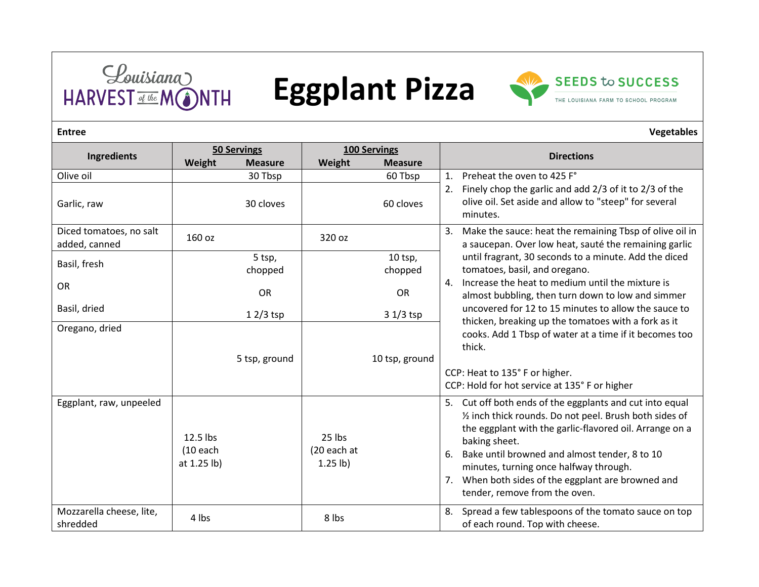

## Eggplant Pizza



| Ingredients                              | <b>50 Servings</b>                    |                | 100 Servings                      |                |                                                                                                                                                                                                                                                                                                                                                                                         |
|------------------------------------------|---------------------------------------|----------------|-----------------------------------|----------------|-----------------------------------------------------------------------------------------------------------------------------------------------------------------------------------------------------------------------------------------------------------------------------------------------------------------------------------------------------------------------------------------|
|                                          | Weight                                | <b>Measure</b> | Weight                            | <b>Measure</b> | <b>Directions</b>                                                                                                                                                                                                                                                                                                                                                                       |
| Olive oil                                |                                       | 30 Tbsp        |                                   | 60 Tbsp        | Preheat the oven to 425 F°<br>1.                                                                                                                                                                                                                                                                                                                                                        |
| Garlic, raw                              |                                       | 30 cloves      |                                   | 60 cloves      | 2. Finely chop the garlic and add 2/3 of it to 2/3 of the<br>olive oil. Set aside and allow to "steep" for several<br>minutes.                                                                                                                                                                                                                                                          |
| Diced tomatoes, no salt<br>added, canned | 160 oz                                |                | 320 oz                            |                | 3. Make the sauce: heat the remaining Tbsp of olive oil in<br>a saucepan. Over low heat, sauté the remaining garlic                                                                                                                                                                                                                                                                     |
| Basil, fresh                             |                                       | 5 tsp,         |                                   | $10$ tsp,      | until fragrant, 30 seconds to a minute. Add the diced                                                                                                                                                                                                                                                                                                                                   |
|                                          |                                       | chopped        |                                   | chopped        | tomatoes, basil, and oregano.                                                                                                                                                                                                                                                                                                                                                           |
| <b>OR</b>                                |                                       | <b>OR</b>      |                                   | <b>OR</b>      | 4. Increase the heat to medium until the mixture is<br>almost bubbling, then turn down to low and simmer                                                                                                                                                                                                                                                                                |
| Basil, dried                             |                                       | $12/3$ tsp     |                                   | 3 1/3 tsp      | uncovered for 12 to 15 minutes to allow the sauce to                                                                                                                                                                                                                                                                                                                                    |
| Oregano, dried                           |                                       | 5 tsp, ground  |                                   | 10 tsp, ground | thicken, breaking up the tomatoes with a fork as it<br>cooks. Add 1 Tbsp of water at a time if it becomes too<br>thick.<br>CCP: Heat to 135° F or higher.<br>CCP: Hold for hot service at 135° F or higher                                                                                                                                                                              |
| Eggplant, raw, unpeeled                  | 12.5 lbs<br>$(10$ each<br>at 1.25 lb) |                | 25 lbs<br>(20 each at<br>1.25 lb) |                | 5. Cut off both ends of the eggplants and cut into equal<br>1/2 inch thick rounds. Do not peel. Brush both sides of<br>the eggplant with the garlic-flavored oil. Arrange on a<br>baking sheet.<br>6. Bake until browned and almost tender, 8 to 10<br>minutes, turning once halfway through.<br>When both sides of the eggplant are browned and<br>7.<br>tender, remove from the oven. |
| Mozzarella cheese, lite,<br>shredded     | 4 lbs                                 |                | 8 lbs                             |                | Spread a few tablespoons of the tomato sauce on top<br>8.<br>of each round. Top with cheese.                                                                                                                                                                                                                                                                                            |

## **Entree Vegetables**